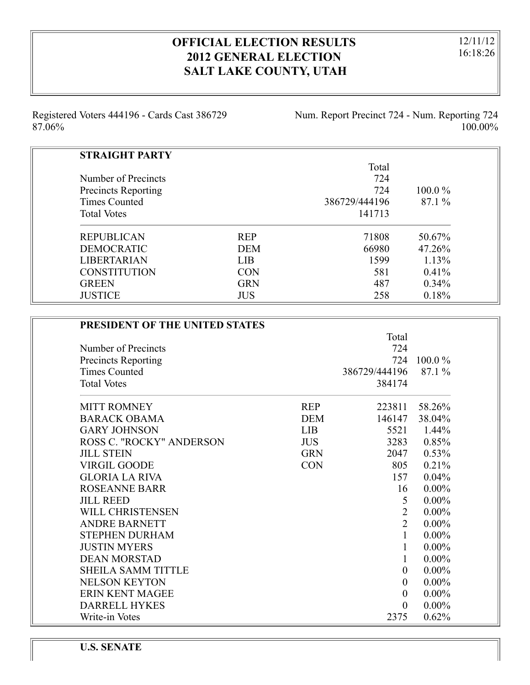# **OFFICIAL ELECTION RESULTS 2012 GENERAL ELECTION SALT LAKE COUNTY, UTAH**

12/11/12 16:18:26

Registered Voters 444196 - Cards Cast 386729 87.06%

Num. Report Precinct 724 - Num. Reporting 724 100.00%

| <b>STRAIGHT PARTY</b>      |            |               |           |
|----------------------------|------------|---------------|-----------|
|                            |            | Total         |           |
| Number of Precincts        |            | 724           |           |
| <b>Precincts Reporting</b> |            | 724           | $100.0\%$ |
| Times Counted              |            | 386729/444196 | 87.1 %    |
| <b>Total Votes</b>         |            | 141713        |           |
| <b>REPUBLICAN</b>          | <b>REP</b> | 71808         | 50.67%    |
| <b>DEMOCRATIC</b>          | <b>DEM</b> | 66980         | 47.26%    |
| <b>LIBERTARIAN</b>         | <b>LIB</b> | 1599          | 1.13%     |
| <b>CONSTITUTION</b>        | <b>CON</b> | 581           | $0.41\%$  |
| <b>GREEN</b>               | <b>GRN</b> | 487           | $0.34\%$  |
| <b>JUSTICE</b>             | <b>JUS</b> | 258           | 0.18%     |

| PRESIDENT OF THE UNITED STATES  |            |                  |           |
|---------------------------------|------------|------------------|-----------|
|                                 |            | Total            |           |
| Number of Precincts             |            | 724              |           |
| <b>Precincts Reporting</b>      |            | 724              | $100.0\%$ |
| <b>Times Counted</b>            |            | 386729/444196    | 87.1 %    |
| <b>Total Votes</b>              |            | 384174           |           |
| <b>MITT ROMNEY</b>              | <b>REP</b> | 223811           | 58.26%    |
| <b>BARACK OBAMA</b>             | <b>DEM</b> | 146147           | 38.04%    |
| <b>GARY JOHNSON</b>             | <b>LIB</b> | 5521             | $1.44\%$  |
| <b>ROSS C. "ROCKY" ANDERSON</b> | <b>JUS</b> | 3283             | 0.85%     |
| <b>JILL STEIN</b>               | <b>GRN</b> | 2047             | 0.53%     |
| <b>VIRGIL GOODE</b>             | <b>CON</b> | 805              | 0.21%     |
| <b>GLORIA LA RIVA</b>           |            | 157              | 0.04%     |
| <b>ROSEANNE BARR</b>            |            | 16               | $0.00\%$  |
| <b>JILL REED</b>                |            | 5                | $0.00\%$  |
| WILL CHRISTENSEN                |            | $\overline{2}$   | $0.00\%$  |
| <b>ANDRE BARNETT</b>            |            | $\overline{2}$   | $0.00\%$  |
| <b>STEPHEN DURHAM</b>           |            | $\mathbf{1}$     | $0.00\%$  |
| <b>JUSTIN MYERS</b>             |            | 1                | $0.00\%$  |
| <b>DEAN MORSTAD</b>             |            | $\mathbf{1}$     | $0.00\%$  |
| <b>SHEILA SAMM TITTLE</b>       |            | $\overline{0}$   | $0.00\%$  |
| <b>NELSON KEYTON</b>            |            | $\boldsymbol{0}$ | $0.00\%$  |
| <b>ERIN KENT MAGEE</b>          |            | $\overline{0}$   | $0.00\%$  |
| <b>DARRELL HYKES</b>            |            | $\overline{0}$   | $0.00\%$  |
| Write-in Votes                  |            | 2375             | 0.62%     |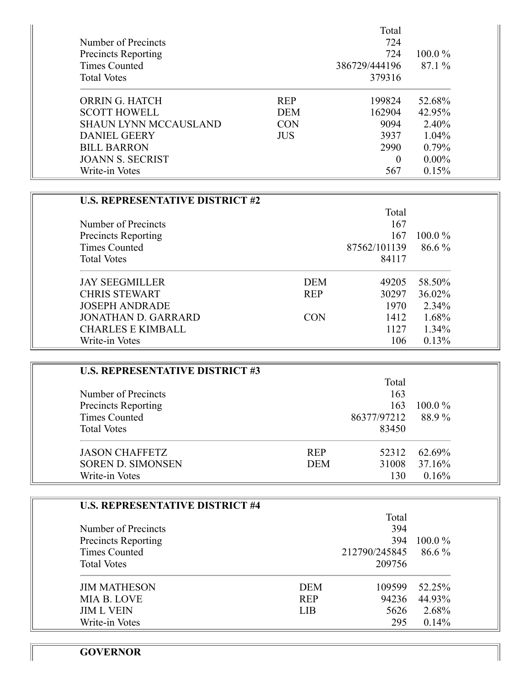|                              |            | Total         |           |
|------------------------------|------------|---------------|-----------|
| Number of Precincts          |            | 724           |           |
| <b>Precincts Reporting</b>   |            | 724           | $100.0\%$ |
| Times Counted                |            | 386729/444196 | 87.1%     |
| <b>Total Votes</b>           |            | 379316        |           |
| ORRIN G. HATCH               | <b>REP</b> | 199824        | 52.68%    |
| <b>SCOTT HOWELL</b>          | <b>DEM</b> | 162904        | 42.95%    |
| <b>SHAUN LYNN MCCAUSLAND</b> | <b>CON</b> | 9094          | 2.40%     |
| <b>DANIEL GEERY</b>          | <b>JUS</b> | 3937          | $1.04\%$  |
| <b>BILL BARRON</b>           |            | 2990          | $0.79\%$  |
| <b>JOANN S. SECRIST</b>      |            | $\theta$      | $0.00\%$  |
| Write-in Votes               |            | 567           | 0.15%     |

| <b>U.S. REPRESENTATIVE DISTRICT #2</b> |            |              |           |
|----------------------------------------|------------|--------------|-----------|
|                                        |            | Total        |           |
| Number of Precincts                    |            | 167          |           |
| <b>Precincts Reporting</b>             |            | 167          | $100.0\%$ |
| Times Counted                          |            | 87562/101139 | $86.6\%$  |
| <b>Total Votes</b>                     |            | 84117        |           |
| <b>JAY SEEGMILLER</b>                  | <b>DEM</b> | 49205        | 58.50%    |
| <b>CHRIS STEWART</b>                   | <b>REP</b> | 30297        | 36.02%    |
| <b>JOSEPH ANDRADE</b>                  |            | 1970         | 2.34%     |
| JONATHAN D. GARRARD                    | <b>CON</b> | 1412         | 1.68%     |
| <b>CHARLES E KIMBALL</b>               |            | 1127         | $1.34\%$  |
| Write-in Votes                         |            | 106          | 0.13%     |

| <b>U.S. REPRESENTATIVE DISTRICT #3</b> |            |             |           |
|----------------------------------------|------------|-------------|-----------|
|                                        |            | Total       |           |
| Number of Precincts                    |            | 163         |           |
| Precincts Reporting                    |            | 163         | $100.0\%$ |
| Times Counted                          |            | 86377/97212 | 88.9%     |
| <b>Total Votes</b>                     |            | 83450       |           |
| <b>JASON CHAFFETZ</b>                  | <b>REP</b> | 52312       | 62.69%    |
| <b>SOREN D. SIMONSEN</b>               | <b>DEM</b> | 31008       | 37.16%    |
| Write-in Votes                         |            | 130         | 0.16%     |

| <b>U.S. REPRESENTATIVE DISTRICT #4</b> |            |               |           |
|----------------------------------------|------------|---------------|-----------|
|                                        |            | Total         |           |
| Number of Precincts                    |            | 394           |           |
| <b>Precincts Reporting</b>             |            | 394           | $100.0\%$ |
| Times Counted                          |            | 212790/245845 | $86.6\%$  |
| <b>Total Votes</b>                     |            | 209756        |           |
| <b>JIM MATHESON</b>                    | <b>DEM</b> | 109599        | 52.25%    |
| MIA B. LOVE                            | <b>REP</b> | 94236         | 44.93%    |
| <b>JIM L VEIN</b>                      | <b>LIB</b> | 5626          | 2.68%     |
| Write-in Votes                         |            | 295           | 0.14%     |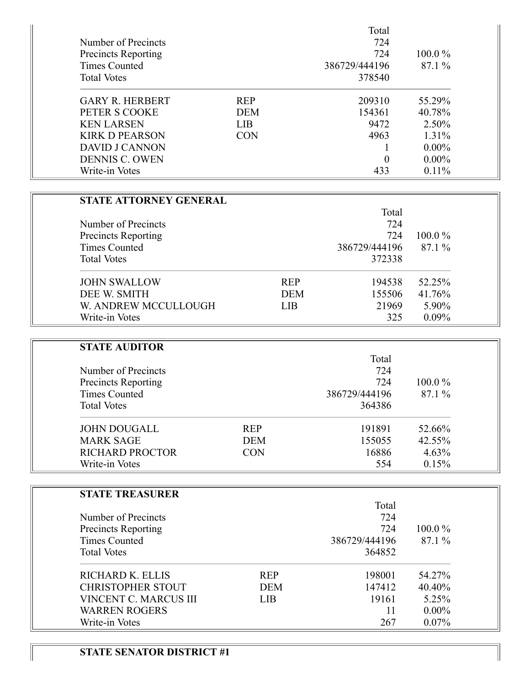| Number of Precincts<br><b>Precincts Reporting</b><br>Times Counted<br><b>Total Votes</b> |            | Total<br>724<br>724<br>386729/444196<br>378540 | $100.0\%$<br>87.1% |
|------------------------------------------------------------------------------------------|------------|------------------------------------------------|--------------------|
| <b>GARY R. HERBERT</b>                                                                   | <b>REP</b> | 209310                                         | 55.29%             |
| PETER S COOKE                                                                            | <b>DEM</b> | 154361                                         | 40.78%             |
| <b>KEN LARSEN</b>                                                                        | <b>LIB</b> | 9472                                           | 2.50%              |
| <b>KIRK D PEARSON</b>                                                                    | <b>CON</b> | 4963                                           | $1.31\%$           |
| <b>DAVID J CANNON</b>                                                                    |            |                                                | $0.00\%$           |
| <b>DENNIS C. OWEN</b>                                                                    |            | $\theta$                                       | $0.00\%$           |
| Write-in Votes                                                                           |            | 433                                            | $0.11\%$           |

| <b>STATE ATTORNEY GENERAL</b> |            |               |           |
|-------------------------------|------------|---------------|-----------|
|                               |            | Total         |           |
| Number of Precincts           |            | 724           |           |
| Precincts Reporting           |            | 724           | $100.0\%$ |
| <b>Times Counted</b>          |            | 386729/444196 | $87.1\%$  |
| <b>Total Votes</b>            |            | 372338        |           |
| <b>JOHN SWALLOW</b>           | <b>REP</b> | 194538        | 52.25%    |
| DEE W. SMITH                  | <b>DEM</b> | 155506        | 41.76%    |
| W. ANDREW MCCULLOUGH          | <b>LIB</b> | 21969         | 5.90%     |
| Write-in Votes                |            | 325           | $0.09\%$  |

| <b>STATE AUDITOR</b>   |            |               |           |
|------------------------|------------|---------------|-----------|
|                        |            | Total         |           |
| Number of Precincts    |            | 724           |           |
| Precincts Reporting    |            | 724           | $100.0\%$ |
| <b>Times Counted</b>   |            | 386729/444196 | 87.1%     |
| <b>Total Votes</b>     |            | 364386        |           |
| <b>JOHN DOUGALL</b>    | <b>REP</b> | 191891        | 52.66%    |
| <b>MARK SAGE</b>       | <b>DEM</b> | 155055        | 42.55%    |
| <b>RICHARD PROCTOR</b> | <b>CON</b> | 16886         | 4.63%     |
| Write-in Votes         |            | 554           | 0.15%     |

| <b>STATE TREASURER</b>     |            |               |           |
|----------------------------|------------|---------------|-----------|
|                            |            | Total         |           |
| Number of Precincts        |            | 724           |           |
| <b>Precincts Reporting</b> |            | 724           | $100.0\%$ |
| Times Counted              |            | 386729/444196 | 87.1%     |
| <b>Total Votes</b>         |            | 364852        |           |
| RICHARD K. ELLIS           | <b>REP</b> | 198001        | 54.27%    |
| <b>CHRISTOPHER STOUT</b>   | <b>DEM</b> | 147412        | 40.40%    |
| VINCENT C. MARCUS III      | <b>LIB</b> | 19161         | 5.25%     |
| <b>WARREN ROGERS</b>       |            | 11            | $0.00\%$  |
| Write-in Votes             |            | 267           | $0.07\%$  |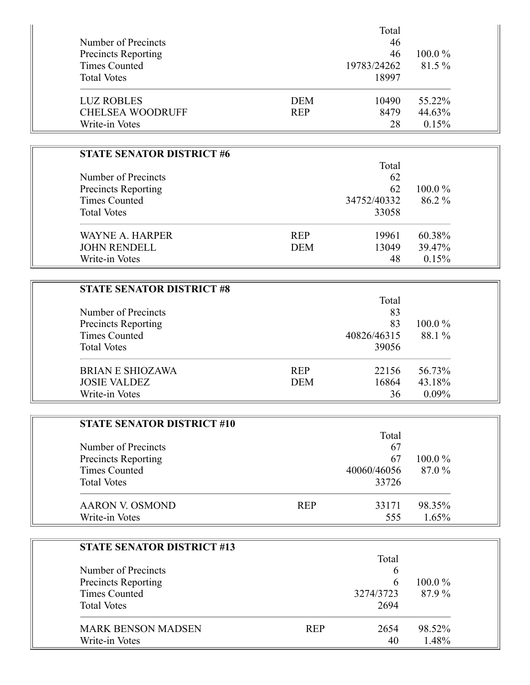|                         |            | Total       |           |
|-------------------------|------------|-------------|-----------|
| Number of Precincts     |            | 46          |           |
| Precincts Reporting     |            | 46          | $100.0\%$ |
| Times Counted           |            | 19783/24262 | 81.5%     |
| <b>Total Votes</b>      |            | 18997       |           |
| <b>LUZ ROBLES</b>       | <b>DEM</b> | 10490       | 55.22%    |
| <b>CHELSEA WOODRUFF</b> | <b>REP</b> | 8479        | 44.63%    |
| Write-in Votes          |            | 28          | 0.15%     |

| <b>STATE SENATOR DISTRICT #6</b> |            |             |           |
|----------------------------------|------------|-------------|-----------|
|                                  |            | Total       |           |
| Number of Precincts              |            | 62          |           |
| Precincts Reporting              |            | 62          | $100.0\%$ |
| <b>Times Counted</b>             |            | 34752/40332 | 86.2 %    |
| <b>Total Votes</b>               |            | 33058       |           |
| WAYNE A. HARPER                  | <b>REP</b> | 19961       | 60.38%    |
| <b>JOHN RENDELL</b>              | <b>DEM</b> | 13049       | 39.47%    |
| Write-in Votes                   |            | 48          | 0.15%     |

| <b>STATE SENATOR DISTRICT #8</b> |            |             |           |
|----------------------------------|------------|-------------|-----------|
|                                  |            | Total       |           |
| Number of Precincts              |            | 83          |           |
| <b>Precincts Reporting</b>       |            | 83          | $100.0\%$ |
| Times Counted                    |            | 40826/46315 | 88.1 %    |
| <b>Total Votes</b>               |            | 39056       |           |
| BRIAN E SHIOZAWA                 | <b>REP</b> | 22156       | 56.73%    |
| <b>JOSIE VALDEZ</b>              | <b>DEM</b> | 16864       | 43.18%    |
| Write-in Votes                   |            | 36          | $0.09\%$  |

| <b>STATE SENATOR DISTRICT #10</b> |            |             |           |  |
|-----------------------------------|------------|-------------|-----------|--|
|                                   |            | Total       |           |  |
| Number of Precincts               |            | 67          |           |  |
| Precincts Reporting               |            | 67          | $100.0\%$ |  |
| <b>Times Counted</b>              |            | 40060/46056 | 87.0 %    |  |
| <b>Total Votes</b>                |            | 33726       |           |  |
| AARON V. OSMOND                   | <b>REP</b> | 33171       | 98.35%    |  |
| Write-in Votes                    |            | 555         | 1.65%     |  |

| <b>STATE SENATOR DISTRICT #13</b> |            |           |           |
|-----------------------------------|------------|-----------|-----------|
|                                   |            | Total     |           |
| Number of Precincts               |            | 6         |           |
| <b>Precincts Reporting</b>        |            | 6         | $100.0\%$ |
| Times Counted                     |            | 3274/3723 | 87.9%     |
| <b>Total Votes</b>                |            | 2694      |           |
| <b>MARK BENSON MADSEN</b>         | <b>REP</b> | 2654      | 98.52%    |
| Write-in Votes                    |            | 40        | 1.48%     |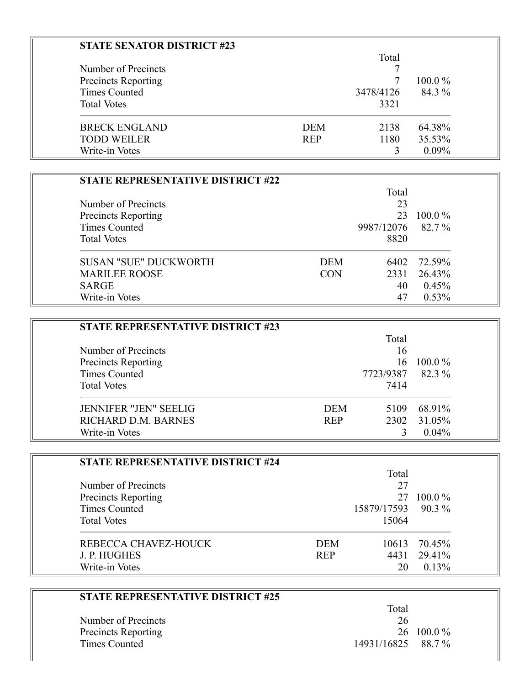| <b>STATE SENATOR DISTRICT #23</b> |            |           |           |
|-----------------------------------|------------|-----------|-----------|
|                                   |            | Total     |           |
| Number of Precincts               |            |           |           |
| <b>Precincts Reporting</b>        |            |           | $100.0\%$ |
| Times Counted                     |            | 3478/4126 | 84.3 %    |
| <b>Total Votes</b>                |            | 3321      |           |
| <b>BRECK ENGLAND</b>              | <b>DEM</b> | 2138      | 64.38%    |
| <b>TODD WEILER</b>                | <b>REP</b> | 1180      | 35.53%    |
| Write-in Votes                    |            |           | $0.09\%$  |

| <b>STATE REPRESENTATIVE DISTRICT #22</b> |            |                   |           |
|------------------------------------------|------------|-------------------|-----------|
|                                          |            | Total             |           |
| Number of Precincts                      |            | 23                |           |
| <b>Precincts Reporting</b>               |            | 23                | $100.0\%$ |
| Times Counted                            |            | 9987/12076 82.7 % |           |
| <b>Total Votes</b>                       |            | 8820              |           |
| <b>SUSAN "SUE" DUCKWORTH</b>             | <b>DEM</b> | 6402              | 72.59%    |
| <b>MARILEE ROOSE</b>                     | <b>CON</b> | 2331              | 26.43%    |
| <b>SARGE</b>                             |            | 40                | 0.45%     |
| Write-in Votes                           |            | 47                | $0.53\%$  |

| <b>STATE REPRESENTATIVE DISTRICT #23</b> |            |           |           |
|------------------------------------------|------------|-----------|-----------|
|                                          |            | Total     |           |
| Number of Precincts                      |            | 16        |           |
| Precincts Reporting                      |            | 16        | $100.0\%$ |
| <b>Times Counted</b>                     |            | 7723/9387 | 82.3%     |
| <b>Total Votes</b>                       |            | 7414      |           |
| <b>JENNIFER "JEN" SEELIG</b>             | <b>DEM</b> | 5109      | 68.91%    |
| RICHARD D.M. BARNES                      | <b>REP</b> | 2302      | 31.05%    |
| Write-in Votes                           |            |           | $0.04\%$  |

| STATE REPRESENTATIVE DISTRICT #24 |            |                    |           |
|-----------------------------------|------------|--------------------|-----------|
|                                   |            | Total              |           |
| Number of Precincts               |            | 27                 |           |
| <b>Precincts Reporting</b>        |            | 27                 | $100.0\%$ |
| Times Counted                     |            | 15879/17593 90.3 % |           |
| <b>Total Votes</b>                |            | 15064              |           |
| REBECCA CHAVEZ-HOUCK              | <b>DEM</b> | 10613              | 70.45%    |
| J. P. HUGHES                      | <b>REP</b> | 4431               | 29.41%    |
| Write-in Votes                    |            | 20                 | 0.13%     |

| <b>STATE REPRESENTATIVE DISTRICT #25</b> |             |            |
|------------------------------------------|-------------|------------|
|                                          | Total       |            |
| Number of Precincts                      | 26          |            |
| <b>Precincts Reporting</b>               |             | 26 100.0 % |
| Times Counted                            | 14931/16825 | 88.7%      |
|                                          |             |            |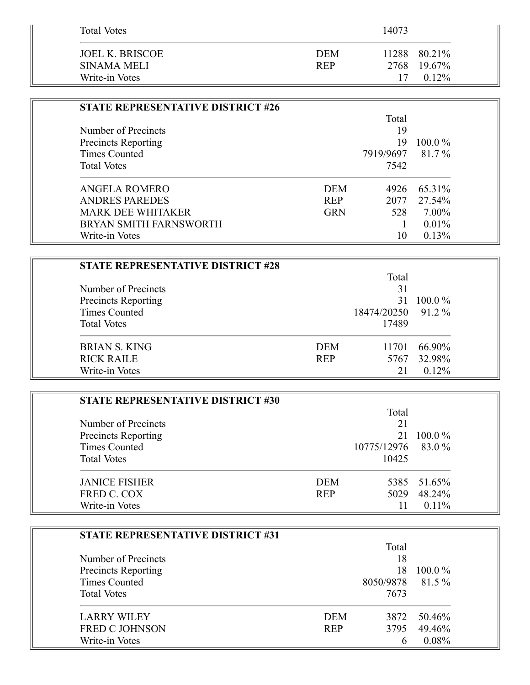| <b>Total Votes</b>                               |                          | 14073 |                                         |
|--------------------------------------------------|--------------------------|-------|-----------------------------------------|
| JOEL K. BRISCOE<br>SINAMA MELI<br>Write-in Votes | <b>DEM</b><br><b>REP</b> | 17    | 11288 80.21%<br>2768 19.67%<br>$0.12\%$ |

| <b>STATE REPRESENTATIVE DISTRICT #26</b> |            |           |           |
|------------------------------------------|------------|-----------|-----------|
|                                          |            | Total     |           |
| Number of Precincts                      |            | 19        |           |
| <b>Precincts Reporting</b>               |            | 19        | $100.0\%$ |
| Times Counted                            |            | 7919/9697 | 81.7%     |
| <b>Total Votes</b>                       |            | 7542      |           |
| ANGELA ROMERO                            | <b>DEM</b> | 4926      | 65.31%    |
| <b>ANDRES PAREDES</b>                    | <b>REP</b> | 2077      | 27.54%    |
| <b>MARK DEE WHITAKER</b>                 | <b>GRN</b> | 528       | 7.00%     |
| <b>BRYAN SMITH FARNSWORTH</b>            |            |           | $0.01\%$  |
| Write-in Votes                           |            | 10        | 0.13%     |

| STATE REPRESENTATIVE DISTRICT #28 |            |                    |           |
|-----------------------------------|------------|--------------------|-----------|
|                                   |            | Total              |           |
| Number of Precincts               |            | 31                 |           |
| <b>Precincts Reporting</b>        |            | 31                 | $100.0\%$ |
| <b>Times Counted</b>              |            | 18474/20250 91.2 % |           |
| <b>Total Votes</b>                |            | 17489              |           |
| BRIAN S. KING                     | <b>DEM</b> | 11701              | 66.90%    |
| <b>RICK RAILE</b>                 | <b>REP</b> | 5767               | 32.98%    |
| Write-in Votes                    |            | 21                 | $0.12\%$  |

| <b>STATE REPRESENTATIVE DISTRICT #30</b> |            |                    |             |
|------------------------------------------|------------|--------------------|-------------|
|                                          |            | Total              |             |
| Number of Precincts                      |            | 21                 |             |
| <b>Precincts Reporting</b>               |            |                    | 21 100.0 %  |
| <b>Times Counted</b>                     |            | 10775/12976 83.0 % |             |
| <b>Total Votes</b>                       |            | 10425              |             |
| <b>JANICE FISHER</b>                     | <b>DEM</b> |                    | 5385 51.65% |
| FRED C. COX                              | <b>REP</b> | 5029               | 48.24%      |
| Write-in Votes                           |            | 11                 | $0.11\%$    |

| <b>STATE REPRESENTATIVE DISTRICT #31</b> |            |                  |           |
|------------------------------------------|------------|------------------|-----------|
|                                          |            | Total            |           |
| Number of Precincts                      |            | 18               |           |
| <b>Precincts Reporting</b>               |            | 18               | $100.0\%$ |
| Times Counted                            |            | 8050/9878 81.5 % |           |
| <b>Total Votes</b>                       |            | 7673             |           |
| <b>LARRY WILEY</b>                       | <b>DEM</b> | 3872             | 50.46%    |
| <b>FRED C JOHNSON</b>                    | <b>REP</b> | 3795             | 49.46%    |
| Write-in Votes                           |            |                  | 0.08%     |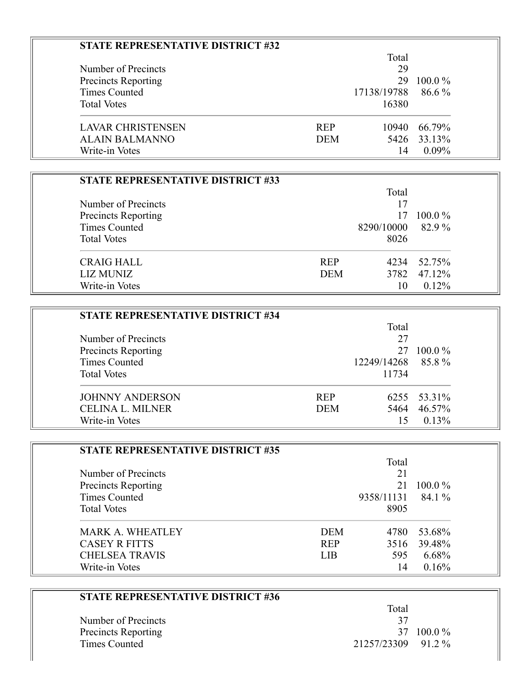| <b>STATE REPRESENTATIVE DISTRICT #32</b> |            |             |           |
|------------------------------------------|------------|-------------|-----------|
|                                          |            | Total       |           |
| Number of Precincts                      |            | 29          |           |
| <b>Precincts Reporting</b>               |            | 29          | $100.0\%$ |
| Times Counted                            |            | 17138/19788 | $86.6\%$  |
| <b>Total Votes</b>                       |            | 16380       |           |
| <b>LAVAR CHRISTENSEN</b>                 | <b>REP</b> | 10940       | 66.79%    |
| ALAIN BALMANNO                           | <b>DEM</b> | 5426        | 33.13%    |
| Write-in Votes                           |            | 14          | $0.09\%$  |

| <b>STATE REPRESENTATIVE DISTRICT #33</b> |            |            |           |
|------------------------------------------|------------|------------|-----------|
|                                          |            | Total      |           |
| Number of Precincts                      |            | 17         |           |
| <b>Precincts Reporting</b>               |            | 17         | $100.0\%$ |
| Times Counted                            |            | 8290/10000 | 82.9%     |
| <b>Total Votes</b>                       |            | 8026       |           |
| <b>CRAIG HALL</b>                        | <b>REP</b> | 4234       | 52.75%    |
| <b>LIZ MUNIZ</b>                         | <b>DEM</b> | 3782       | 47.12%    |
| Write-in Votes                           |            | 10         | $0.12\%$  |

Ξ

| <b>STATE REPRESENTATIVE DISTRICT #34</b> |            |                   |             |
|------------------------------------------|------------|-------------------|-------------|
|                                          |            | Total             |             |
| Number of Precincts                      |            | 27                |             |
| <b>Precincts Reporting</b>               |            | 27                | $100.0\%$   |
| Times Counted                            |            | 12249/14268 85.8% |             |
| <b>Total Votes</b>                       |            | 11734             |             |
| <b>JOHNNY ANDERSON</b>                   | <b>REP</b> |                   | 6255 53.31% |
| <b>CELINA L. MILNER</b>                  | <b>DEM</b> | 5464              | 46.57%      |
| Write-in Votes                           |            | 15                | $0.13\%$    |

| <b>STATE REPRESENTATIVE DISTRICT #35</b> |            |            |           |
|------------------------------------------|------------|------------|-----------|
|                                          |            | Total      |           |
| Number of Precincts                      |            | 21         |           |
| <b>Precincts Reporting</b>               |            | 21         | $100.0\%$ |
| Times Counted                            |            | 9358/11131 | 84.1 %    |
| <b>Total Votes</b>                       |            | 8905       |           |
| <b>MARK A. WHEATLEY</b>                  | <b>DEM</b> | 4780       | 53.68%    |
| <b>CASEY R FITTS</b>                     | <b>REP</b> | 3516       | 39.48%    |
| <b>CHELSEA TRAVIS</b>                    | <b>LIB</b> | 595        | 6.68%     |
| Write-in Votes                           |            | 14         | 0.16%     |

| <b>STATE REPRESENTATIVE DISTRICT #36</b> |                    |
|------------------------------------------|--------------------|
|                                          | Total              |
| Number of Precincts                      | 37                 |
| <b>Precincts Reporting</b>               | $100.0\%$<br>37    |
| Times Counted                            | 21257/23309 91.2 % |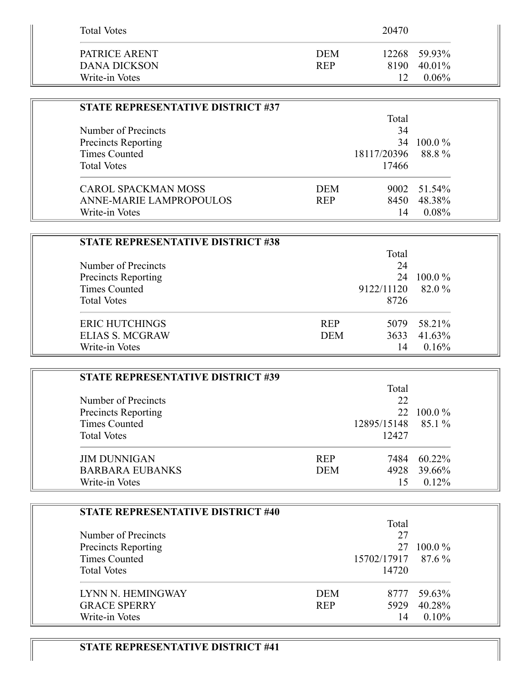| <b>Total Votes</b>                              |                          | 20470      |                                    |
|-------------------------------------------------|--------------------------|------------|------------------------------------|
| PATRICE ARENT<br>DANA DICKSON<br>Write-in Votes | <b>DEM</b><br><b>REP</b> | 8190<br>12 | 12268 59.93%<br>40.01%<br>$0.06\%$ |

| STATE REPRESENTATIVE DISTRICT #37 |            |                    |             |
|-----------------------------------|------------|--------------------|-------------|
|                                   |            | Total              |             |
| Number of Precincts               |            | 34                 |             |
| Precincts Reporting               |            | 34                 | $100.0\%$   |
| <b>Times Counted</b>              |            | 18117/20396 88.8 % |             |
| <b>Total Votes</b>                |            | 17466              |             |
| CAROL SPACKMAN MOSS               | <b>DEM</b> |                    | 9002 51.54% |
| ANNE-MARIE LAMPROPOULOS           | <b>REP</b> | 8450               | 48.38%      |
| Write-in Votes                    |            | 14                 | 0.08%       |

| <b>STATE REPRESENTATIVE DISTRICT #38</b> |            |            |           |
|------------------------------------------|------------|------------|-----------|
|                                          |            | Total      |           |
| Number of Precincts                      |            | 24         |           |
| <b>Precincts Reporting</b>               |            | 24         | $100.0\%$ |
| Times Counted                            |            | 9122/11120 | 82.0 %    |
| <b>Total Votes</b>                       |            | 8726       |           |
| <b>ERIC HUTCHINGS</b>                    | <b>REP</b> | 5079       | 58.21%    |
| <b>ELIAS S. MCGRAW</b>                   | <b>DEM</b> | 3633       | 41.63%    |
| Write-in Votes                           |            | 14         | 0.16%     |

| <b>STATE REPRESENTATIVE DISTRICT #39</b> |            |             |           |
|------------------------------------------|------------|-------------|-----------|
|                                          |            | Total       |           |
| Number of Precincts                      |            | 22          |           |
| <b>Precincts Reporting</b>               |            | 22.         | $100.0\%$ |
| Times Counted                            |            | 12895/15148 | 85.1 %    |
| <b>Total Votes</b>                       |            | 12427       |           |
| <b>JIM DUNNIGAN</b>                      | <b>REP</b> | 7484        | 60.22%    |
| <b>BARBARA EUBANKS</b>                   | <b>DEM</b> | 4928        | 39.66%    |
| Write-in Votes                           |            |             | $0.12\%$  |

| STATE REPRESENTATIVE DISTRICT #40 |            |                    |           |
|-----------------------------------|------------|--------------------|-----------|
|                                   |            | Total              |           |
| Number of Precincts               |            | 27                 |           |
| <b>Precincts Reporting</b>        |            | 27                 | $100.0\%$ |
| Times Counted                     |            | 15702/17917 87.6 % |           |
| <b>Total Votes</b>                |            | 14720              |           |
| LYNN N. HEMINGWAY                 | <b>DEM</b> | 8777               | 59.63%    |
| <b>GRACE SPERRY</b>               | <b>REP</b> | 5929               | 40.28%    |
| Write-in Votes                    |            | 14                 | 0.10%     |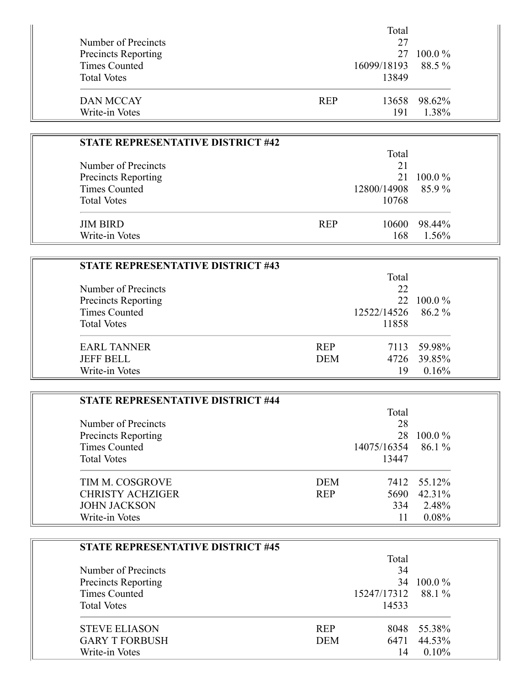|                            | Total              |              |
|----------------------------|--------------------|--------------|
| Number of Precincts        | 27                 |              |
| <b>Precincts Reporting</b> | 27                 | $100.0\%$    |
| Times Counted              | 16099/18193 88.5 % |              |
| <b>Total Votes</b>         | 13849              |              |
| DAN MCCAY                  | <b>REP</b>         | 13658 98.62% |
| Write-in Votes             | 191                | 1.38%        |

| <b>STATE REPRESENTATIVE DISTRICT #42</b> |            |                    |           |  |
|------------------------------------------|------------|--------------------|-----------|--|
|                                          |            | Total              |           |  |
| Number of Precincts                      |            | 21                 |           |  |
| Precincts Reporting                      |            | 21                 | $100.0\%$ |  |
| Times Counted                            |            | 12800/14908 85.9 % |           |  |
| <b>Total Votes</b>                       |            | 10768              |           |  |
| <b>JIM BIRD</b>                          | <b>REP</b> | 10600-             | 98.44%    |  |
| Write-in Votes                           |            | 168                | 1.56%     |  |

| <b>STATE REPRESENTATIVE DISTRICT #43</b> |            |             |             |
|------------------------------------------|------------|-------------|-------------|
|                                          |            | Total       |             |
| Number of Precincts                      |            | 22          |             |
| Precincts Reporting                      |            | 22.         | $100.0\%$   |
| Times Counted                            |            | 12522/14526 | 86.2 %      |
| <b>Total Votes</b>                       |            | 11858       |             |
| <b>EARL TANNER</b>                       | <b>REP</b> |             | 7113 59.98% |
| <b>JEFF BELL</b>                         | <b>DEM</b> |             | 4726 39.85% |
| Write-in Votes                           |            | 19          | 0.16%       |

| STATE REPRESENTATIVE DISTRICT #44 |            |                      |             |
|-----------------------------------|------------|----------------------|-------------|
|                                   |            | Total                |             |
| Number of Precincts               |            | 28                   |             |
| Precincts Reporting               |            | 28                   | $100.0\%$   |
| <b>Times Counted</b>              |            | $14075/16354$ 86.1 % |             |
| <b>Total Votes</b>                |            | 13447                |             |
| TIM M. COSGROVE                   | <b>DEM</b> |                      | 7412 55.12% |
| <b>CHRISTY ACHZIGER</b>           | <b>REP</b> | 5690                 | 42.31%      |
| <b>JOHN JACKSON</b>               |            | 334                  | 2.48%       |
| Write-in Votes                    |            | 11                   | 0.08%       |

| <b>STATE REPRESENTATIVE DISTRICT #45</b> |            |             |           |
|------------------------------------------|------------|-------------|-----------|
|                                          | Total      |             |           |
| Number of Precincts                      |            | 34          |           |
| <b>Precincts Reporting</b>               |            | 34          | $100.0\%$ |
| Times Counted                            |            | 15247/17312 | 88.1 %    |
| <b>Total Votes</b>                       |            | 14533       |           |
| <b>STEVE ELIASON</b>                     | <b>REP</b> | 8048        | 55.38%    |
| <b>GARY T FORBUSH</b>                    | <b>DEM</b> | 6471        | 44.53%    |
| Write-in Votes                           |            | 14          | 0.10%     |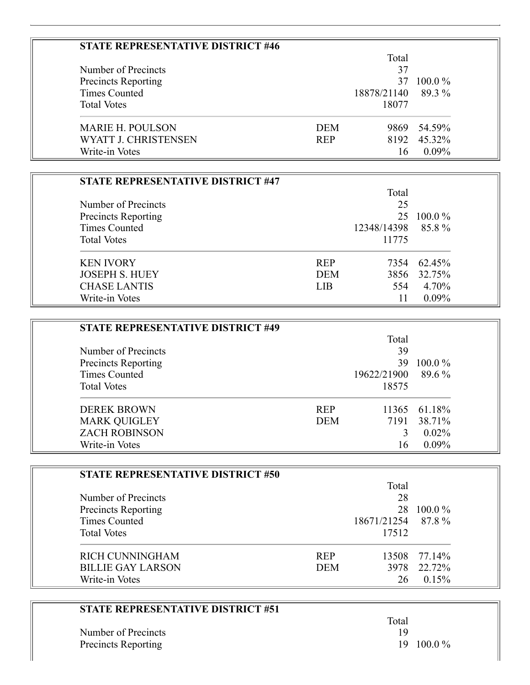| <b>STATE REPRESENTATIVE DISTRICT #46</b> |            |             |           |  |
|------------------------------------------|------------|-------------|-----------|--|
|                                          |            | Total       |           |  |
| Number of Precincts                      |            | 37          |           |  |
| <b>Precincts Reporting</b>               |            | 37          | $100.0\%$ |  |
| <b>Times Counted</b>                     |            | 18878/21140 | 89.3 %    |  |
| <b>Total Votes</b>                       |            | 18077       |           |  |
| <b>MARIE H. POULSON</b>                  | DEM        | 9869        | 54.59%    |  |
| WYATT J. CHRISTENSEN                     | <b>REP</b> | 8192        | 45.32%    |  |
| Write-in Votes                           |            | 16          | $0.09\%$  |  |

| STATE REPRESENTATIVE DISTRICT #47 |            |                   |             |  |
|-----------------------------------|------------|-------------------|-------------|--|
|                                   |            | Total             |             |  |
| Number of Precincts               |            | 25                |             |  |
| Precincts Reporting               |            | 25                | $100.0\%$   |  |
| Times Counted                     |            | 12348/14398 85.8% |             |  |
| <b>Total Votes</b>                |            | 11775             |             |  |
| <b>KEN IVORY</b>                  | <b>REP</b> |                   | 7354 62.45% |  |
| <b>JOSEPH S. HUEY</b>             | <b>DEM</b> | 3856              | 32.75%      |  |
| <b>CHASE LANTIS</b>               | LIB.       | 554               | 4.70%       |  |
| Write-in Votes                    |            | 11                | $0.09\%$    |  |

| <b>STATE REPRESENTATIVE DISTRICT #49</b> |            |             |              |
|------------------------------------------|------------|-------------|--------------|
|                                          |            | Total       |              |
| Number of Precincts                      |            | 39          |              |
| <b>Precincts Reporting</b>               |            | 39.         | $100.0\%$    |
| <b>Times Counted</b>                     |            | 19622/21900 | 89.6 %       |
| <b>Total Votes</b>                       |            | 18575       |              |
| <b>DEREK BROWN</b>                       | <b>REP</b> |             | 11365 61.18% |
| <b>MARK QUIGLEY</b>                      | <b>DEM</b> | 7191        | 38.71%       |
| <b>ZACH ROBINSON</b>                     |            |             | $0.02\%$     |
| Write-in Votes                           |            | 16          | $0.09\%$     |

| <b>STATE REPRESENTATIVE DISTRICT #50</b> |            |                    |           |  |
|------------------------------------------|------------|--------------------|-----------|--|
|                                          |            | Total              |           |  |
| Number of Precincts                      |            | 28                 |           |  |
| Precincts Reporting                      |            | 28                 | $100.0\%$ |  |
| Times Counted                            |            | 18671/21254 87.8 % |           |  |
| <b>Total Votes</b>                       |            | 17512              |           |  |
| RICH CUNNINGHAM                          | <b>REP</b> | 13508              | 77.14%    |  |
| <b>BILLIE GAY LARSON</b>                 | <b>DEM</b> | 3978               | 22.72%    |  |
| Write-in Votes                           |            | 26                 | 0.15%     |  |

| <b>STATE REPRESENTATIVE DISTRICT #51</b> |                    |
|------------------------------------------|--------------------|
|                                          | Total              |
| Number of Precincts                      |                    |
| <b>Precincts Reporting</b>               | $19 \quad 100.0\%$ |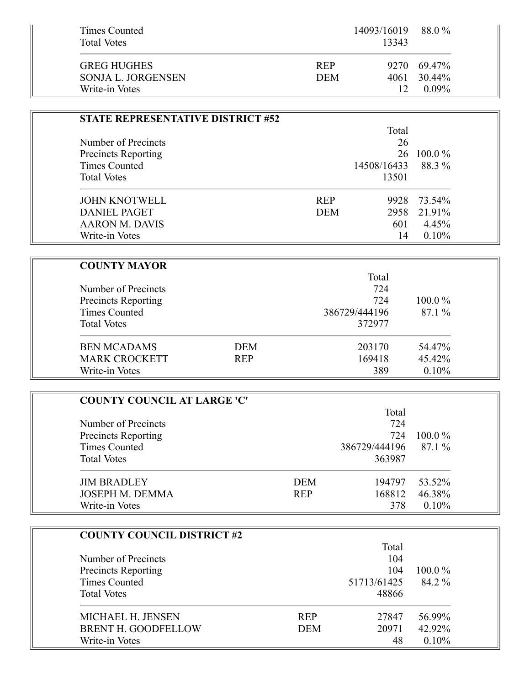| Times Counted<br><b>Total Votes</b> | $14093/16019$ 88.0 %<br>13343 |             |
|-------------------------------------|-------------------------------|-------------|
| <b>GREG HUGHES</b>                  | <b>REP</b>                    | 9270 69.47% |
| SONJA L. JORGENSEN                  | 4061<br><b>DEM</b>            | 30.44%      |
| Write-in Votes                      | 12                            | $0.09\%$    |

| STATE REPRESENTATIVE DISTRICT #52 |            |             |           |  |
|-----------------------------------|------------|-------------|-----------|--|
|                                   | Total      |             |           |  |
| Number of Precincts               |            | 26          |           |  |
| <b>Precincts Reporting</b>        |            | 26          | $100.0\%$ |  |
| Times Counted                     |            | 14508/16433 | 88.3 %    |  |
| <b>Total Votes</b>                |            | 13501       |           |  |
| <b>JOHN KNOTWELL</b>              | <b>REP</b> | 9928        | 73.54%    |  |
| DANIEL PAGET                      | <b>DEM</b> | 2958        | 21.91%    |  |
| AARON M. DAVIS                    |            | 601         | 4.45%     |  |
| Write-in Votes                    |            | 14          | $0.10\%$  |  |

| <b>COUNTY MAYOR</b>  |            |               |           |
|----------------------|------------|---------------|-----------|
|                      |            | Total         |           |
| Number of Precincts  |            | 724           |           |
| Precincts Reporting  |            | 724           | $100.0\%$ |
| Times Counted        |            | 386729/444196 | 87.1%     |
| <b>Total Votes</b>   |            | 372977        |           |
| <b>BEN MCADAMS</b>   | <b>DEM</b> | 203170        | 54.47%    |
| <b>MARK CROCKETT</b> | <b>REP</b> | 169418        | 45.42%    |
| Write-in Votes       |            | 389           | 0.10%     |

| <b>COUNTY COUNCIL AT LARGE 'C'</b> |            |                      |           |  |
|------------------------------------|------------|----------------------|-----------|--|
|                                    |            | Total                |           |  |
| Number of Precincts                |            | 724                  |           |  |
| <b>Precincts Reporting</b>         |            | 724                  | $100.0\%$ |  |
| Times Counted                      |            | 386729/444196 87.1 % |           |  |
| <b>Total Votes</b>                 |            | 363987               |           |  |
| <b>JIM BRADLEY</b>                 | <b>DEM</b> | 194797               | 53.52%    |  |
| JOSEPH M. DEMMA                    | <b>REP</b> | 168812               | 46.38%    |  |
| Write-in Votes                     |            | 378                  | $0.10\%$  |  |

| <b>COUNTY COUNCIL DISTRICT #2</b> |            |             |           |
|-----------------------------------|------------|-------------|-----------|
|                                   |            | Total       |           |
| Number of Precincts               |            | 104         |           |
| Precincts Reporting               |            | 104         | $100.0\%$ |
| Times Counted                     |            | 51713/61425 | 84.2 %    |
| <b>Total Votes</b>                |            | 48866       |           |
| MICHAEL H. JENSEN                 | <b>REP</b> | 27847       | 56.99%    |
| <b>BRENT H. GOODFELLOW</b>        | <b>DEM</b> | 20971       | 42.92%    |
| Write-in Votes                    |            | 48          | 0.10%     |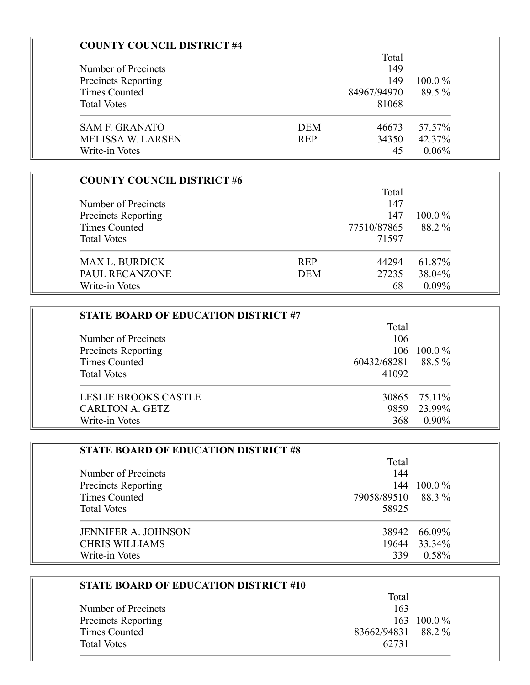| <b>COUNTY COUNCIL DISTRICT #4</b> |            |             |           |
|-----------------------------------|------------|-------------|-----------|
|                                   |            | Total       |           |
| Number of Precincts               |            | 149         |           |
| <b>Precincts Reporting</b>        |            | 149         | $100.0\%$ |
| Times Counted                     |            | 84967/94970 | 89.5 %    |
| <b>Total Votes</b>                |            | 81068       |           |
| <b>SAM F. GRANATO</b>             | <b>DEM</b> | 46673       | 57.57%    |
| <b>MELISSA W. LARSEN</b>          | <b>REP</b> | 34350       | 42.37%    |
| Write-in Votes                    |            | 45          | 0.06%     |

| <b>COUNTY COUNCIL DISTRICT #6</b> |            |             |           |
|-----------------------------------|------------|-------------|-----------|
|                                   |            | Total       |           |
| Number of Precincts               |            | 147         |           |
| <b>Precincts Reporting</b>        |            | 147         | $100.0\%$ |
| Times Counted                     |            | 77510/87865 | 88.2 %    |
| <b>Total Votes</b>                |            | 71597       |           |
| MAX L. BURDICK                    | <b>REP</b> | 44294       | 61.87%    |
| PAUL RECANZONE                    | <b>DEM</b> | 27235       | 38.04%    |
| Write-in Votes                    |            | 68          | $0.09\%$  |

| <b>STATE BOARD OF EDUCATION DISTRICT #7</b> |                    |               |
|---------------------------------------------|--------------------|---------------|
|                                             | Total              |               |
| Number of Precincts                         | 106                |               |
| <b>Precincts Reporting</b>                  |                    | $106$ 100.0 % |
| Times Counted                               | 60432/68281 88.5 % |               |
| <b>Total Votes</b>                          | 41092              |               |
| <b>LESLIE BROOKS CASTLE</b>                 |                    | 30865 75.11%  |
| <b>CARLTON A. GETZ</b>                      |                    | 9859 23.99%   |
| Write-in Votes                              | 368                | $0.90\%$      |

| <b>STATE BOARD OF EDUCATION DISTRICT #8</b> |                    |              |
|---------------------------------------------|--------------------|--------------|
|                                             | Total              |              |
| Number of Precincts                         | 144                |              |
| <b>Precincts Reporting</b>                  | 144                | $100.0\%$    |
| Times Counted                               | 79058/89510 88.3 % |              |
| <b>Total Votes</b>                          | 58925              |              |
| <b>JENNIFER A. JOHNSON</b>                  |                    | 38942 66.09% |
| <b>CHRIS WILLIAMS</b>                       | 19644              | 33.34%       |
| Write-in Votes                              | 339                | 0.58%        |

| Total |                    |
|-------|--------------------|
| 163   |                    |
|       | 163 100.0 $\%$     |
|       |                    |
| 62731 |                    |
|       | 83662/94831 88.2 % |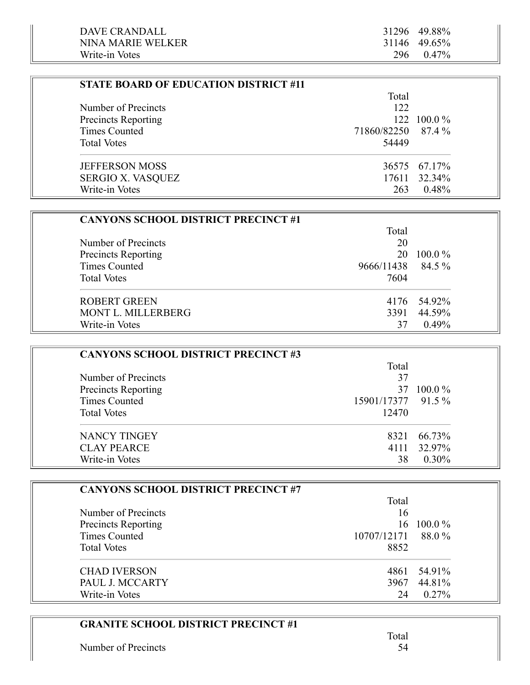| <b>STATE BOARD OF EDUCATION DISTRICT #11</b> |                    |              |
|----------------------------------------------|--------------------|--------------|
|                                              | Total              |              |
| Number of Precincts                          | 122                |              |
| <b>Precincts Reporting</b>                   |                    | 122 100.0 %  |
| Times Counted                                | 71860/82250 87.4 % |              |
| <b>Total Votes</b>                           | 54449              |              |
| <b>JEFFERSON MOSS</b>                        |                    | 36575 67.17% |
| <b>SERGIO X. VASQUEZ</b>                     |                    | 17611 32.34% |
| Write-in Votes                               | 263                | 0.48%        |

| <b>CANYONS SCHOOL DISTRICT PRECINCT #1</b> |            |             |
|--------------------------------------------|------------|-------------|
|                                            | Total      |             |
| Number of Precincts                        | 20         |             |
| <b>Precincts Reporting</b>                 | 20         | $100.0\%$   |
| Times Counted                              | 9666/11438 | 84.5 %      |
| <b>Total Votes</b>                         | 7604       |             |
| <b>ROBERT GREEN</b>                        |            | 4176 54.92% |
| <b>MONT L. MILLERBERG</b>                  | 3391       | 44.59%      |
| Write-in Votes                             | 37         | $0.49\%$    |

| <b>CANYONS SCHOOL DISTRICT PRECINCT #3</b> |                    |           |
|--------------------------------------------|--------------------|-----------|
|                                            | Total              |           |
| Number of Precincts                        | 37                 |           |
| Precincts Reporting                        | 37                 | $100.0\%$ |
| Times Counted                              | 15901/17377 91.5 % |           |
| <b>Total Votes</b>                         | 12470              |           |
| NANCY TINGEY                               | 8321               | 66.73%    |
| <b>CLAY PEARCE</b>                         | 4111               | 32.97%    |
| Write-in Votes                             | 38                 | $0.30\%$  |

| <b>CANYONS SCHOOL DISTRICT PRECINCT #7</b> |             |           |
|--------------------------------------------|-------------|-----------|
|                                            | Total       |           |
| Number of Precincts                        | 16          |           |
| Precincts Reporting                        | 16.         | $100.0\%$ |
| Times Counted                              | 10707/12171 | 88.0%     |
| <b>Total Votes</b>                         | 8852        |           |
| <b>CHAD IVERSON</b>                        | 4861        | 54.91%    |
| PAUL J. MCCARTY                            | 3967        | 44.81%    |
| Write-in Votes                             | 24          | $0.27\%$  |

#### **GRANITE SCHOOL DISTRICT PRECINCT #1**

Number of Precincts 54

 $\sim$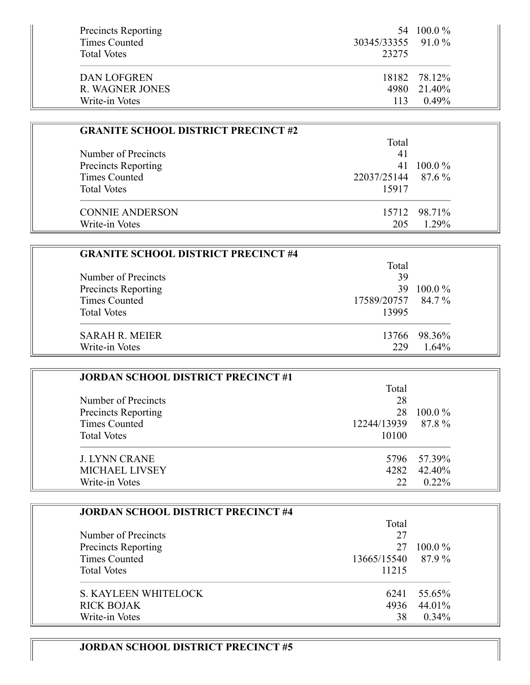| <b>Precincts Reporting</b><br>Times Counted | 30345/33355 91.0 % | 54 100.0 %   |
|---------------------------------------------|--------------------|--------------|
| <b>Total Votes</b><br>DAN LOFGREN           | 23275              | 18182 78.12% |
| R. WAGNER JONES                             |                    | 4980 21.40%  |
| Write-in Votes                              | 113                | $0.49\%$     |

| <b>GRANITE SCHOOL DISTRICT PRECINCT #2</b> |                    |              |
|--------------------------------------------|--------------------|--------------|
|                                            | Total              |              |
| Number of Precincts                        | 41                 |              |
| Precincts Reporting                        | 41                 | $100.0\%$    |
| Times Counted                              | 22037/25144 87.6 % |              |
| <b>Total Votes</b>                         | 15917              |              |
| <b>CONNIE ANDERSON</b>                     |                    | 15712 98.71% |
| Write-in Votes                             | 205                | $1.29\%$     |

| <b>GRANITE SCHOOL DISTRICT PRECINCT #4</b> |                    |              |
|--------------------------------------------|--------------------|--------------|
|                                            | Total              |              |
| Number of Precincts                        | 39                 |              |
| <b>Precincts Reporting</b>                 | 39.                | $100.0\%$    |
| <b>Times Counted</b>                       | 17589/20757 84.7 % |              |
| <b>Total Votes</b>                         | 13995              |              |
| <b>SARAH R. MEIER</b>                      |                    | 13766 98.36% |
| Write-in Votes                             | 229                | 1.64%        |

| <b>JORDAN SCHOOL DISTRICT PRECINCT #1</b> |                   |             |
|-------------------------------------------|-------------------|-------------|
|                                           | Total             |             |
| Number of Precincts                       | 28                |             |
| <b>Precincts Reporting</b>                | 28                | $100.0\%$   |
| Times Counted                             | 12244/13939 87.8% |             |
| <b>Total Votes</b>                        | 10100             |             |
| <b>J. LYNN CRANE</b>                      |                   | 5796 57.39% |
| <b>MICHAEL LIVSEY</b>                     | 4282              | 42.40%      |
| Write-in Votes                            | 22                | $0.22\%$    |

| <b>JORDAN SCHOOL DISTRICT PRECINCT #4</b> |             |           |
|-------------------------------------------|-------------|-----------|
|                                           | Total       |           |
| Number of Precincts                       | 27          |           |
| <b>Precincts Reporting</b>                | 27          | $100.0\%$ |
| Times Counted                             | 13665/15540 | 87.9%     |
| <b>Total Votes</b>                        | 11215       |           |
| <b>S. KAYLEEN WHITELOCK</b>               | 6241        | 55.65%    |
| <b>RICK BOJAK</b>                         | 4936        | 44.01%    |
| Write-in Votes                            | 38          | 0.34%     |

# **JORDAN SCHOOL DISTRICT PRECINCT #5**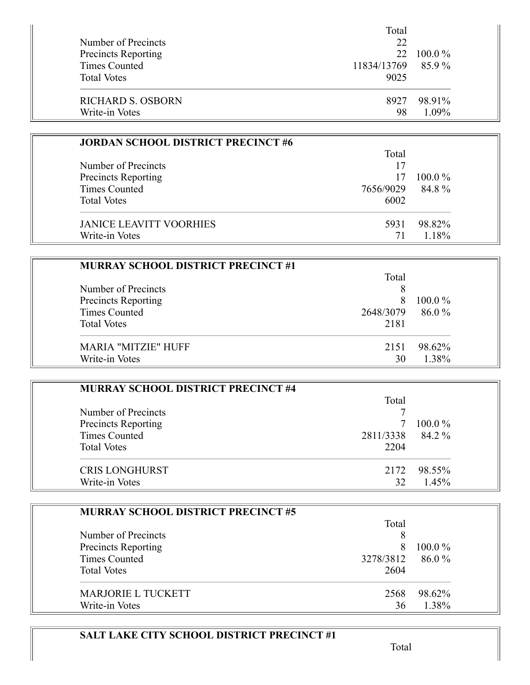|                            | Total             |            |
|----------------------------|-------------------|------------|
| Number of Precincts        | 22                |            |
| <b>Precincts Reporting</b> |                   | 22 100.0 % |
| Times Counted              | 11834/13769 85.9% |            |
| <b>Total Votes</b>         | 9025              |            |
| RICHARD S. OSBORN          | 8927              | 98.91%     |
| Write-in Votes             | 98                | $1.09\%$   |

| <b>JORDAN SCHOOL DISTRICT PRECINCT #6</b> |           |           |
|-------------------------------------------|-----------|-----------|
|                                           | Total     |           |
| Number of Precincts                       | 17        |           |
| Precincts Reporting                       | 17        | $100.0\%$ |
| <b>Times Counted</b>                      | 7656/9029 | 84.8%     |
| <b>Total Votes</b>                        | 6002      |           |
| <b>JANICE LEAVITT VOORHIES</b>            | 5931      | 98.82%    |
| Write-in Votes                            |           | 1.18%     |

| <b>MURRAY SCHOOL DISTRICT PRECINCT #1</b> |           |            |
|-------------------------------------------|-----------|------------|
|                                           | Total     |            |
| Number of Precincts                       |           |            |
| Precincts Reporting                       | 8         | $100.0\%$  |
| <b>Times Counted</b>                      | 2648/3079 | $86.0\,\%$ |
| <b>Total Votes</b>                        | 2181      |            |
| <b>MARIA "MITZIE" HUFF</b>                | 2151      | 98.62%     |
| Write-in Votes                            | 30        | 1.38%      |

| MURRAY SCHOOL DISTRICT PRECINCT #4 |           |           |
|------------------------------------|-----------|-----------|
|                                    | Total     |           |
| Number of Precincts                |           |           |
| <b>Precincts Reporting</b>         |           | $100.0\%$ |
| <b>Times Counted</b>               | 2811/3338 | 84.2 %    |
| <b>Total Votes</b>                 | 2204      |           |
| <b>CRIS LONGHURST</b>              | 2172      | 98.55%    |
| Write-in Votes                     | 32        | 1.45%     |

| <b>MURRAY SCHOOL DISTRICT PRECINCT #5</b> |           |           |
|-------------------------------------------|-----------|-----------|
|                                           | Total     |           |
| Number of Precincts                       | 8         |           |
| Precincts Reporting                       | 8         | $100.0\%$ |
| <b>Times Counted</b>                      | 3278/3812 | 86.0%     |
| <b>Total Votes</b>                        | 2604      |           |
| <b>MARJORIE L TUCKETT</b>                 | 2568      | 98.62%    |
| Write-in Votes                            | 36        | 1.38%     |

# **SALT LAKE CITY SCHOOL DISTRICT PRECINCT #1**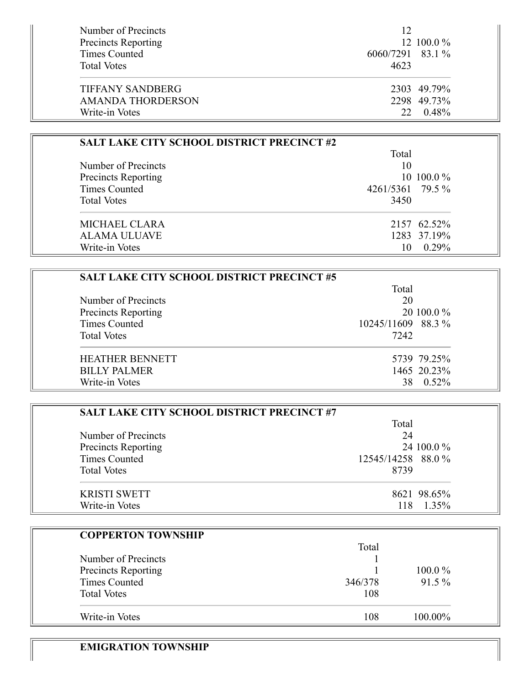| Number of Precincts        | 12               |             |
|----------------------------|------------------|-------------|
| <b>Precincts Reporting</b> |                  | 12 100.0 %  |
| Times Counted              | 6060/7291 83.1 % |             |
| <b>Total Votes</b>         | 4623             |             |
|                            |                  |             |
| <b>TIFFANY SANDBERG</b>    |                  | 2303 49.79% |
| <b>AMANDA THORDERSON</b>   |                  | 2298 49.73% |
| Write-in Votes             |                  | 22 0.48%    |

| <b>SALT LAKE CITY SCHOOL DISTRICT PRECINCT #2</b> |                  |               |
|---------------------------------------------------|------------------|---------------|
|                                                   | Total            |               |
| Number of Precincts                               | 10               |               |
| Precincts Reporting                               |                  | 10 100.0 $\%$ |
| Times Counted                                     | 4261/5361 79.5 % |               |
| <b>Total Votes</b>                                | 3450             |               |
| <b>MICHAEL CLARA</b>                              |                  | 2157 62.52%   |
| ALAMA ULUAVE                                      |                  | 1283 37.19%   |
| Write-in Votes                                    |                  | $0.29\%$      |

| <b>SALT LAKE CITY SCHOOL DISTRICT PRECINCT #5</b> |                   |             |
|---------------------------------------------------|-------------------|-------------|
|                                                   | Total             |             |
| Number of Precincts                               | 20                |             |
| Precincts Reporting                               |                   | 20 100.0 %  |
| <b>Times Counted</b>                              | 10245/11609 88.3% |             |
| <b>Total Votes</b>                                | 7242              |             |
| <b>HEATHER BENNETT</b>                            |                   | 5739 79.25% |
| <b>BILLY PALMER</b>                               |                   | 1465 20.23% |
| Write-in Votes                                    |                   | $0.52\%$    |

| <b>SALT LAKE CITY SCHOOL DISTRICT PRECINCT #7</b> |                    |
|---------------------------------------------------|--------------------|
|                                                   | Total              |
| Number of Precincts                               | 24                 |
| Precincts Reporting                               | 24 100.0 %         |
| <b>Times Counted</b>                              | 12545/14258 88.0 % |
| <b>Total Votes</b>                                | 8739               |
| <b>KRISTI SWETT</b>                               | 8621 98.65%        |
| Write-in Votes                                    | 1.35%<br>118       |

| <b>COPPERTON TOWNSHIP</b> |         |          |  |
|---------------------------|---------|----------|--|
|                           | Total   |          |  |
| Number of Precincts       |         |          |  |
| Precincts Reporting       |         | 100.0%   |  |
| <b>Times Counted</b>      | 346/378 | $91.5\%$ |  |
| <b>Total Votes</b>        | 108     |          |  |
| Write-in Votes            | 108     | 100.00%  |  |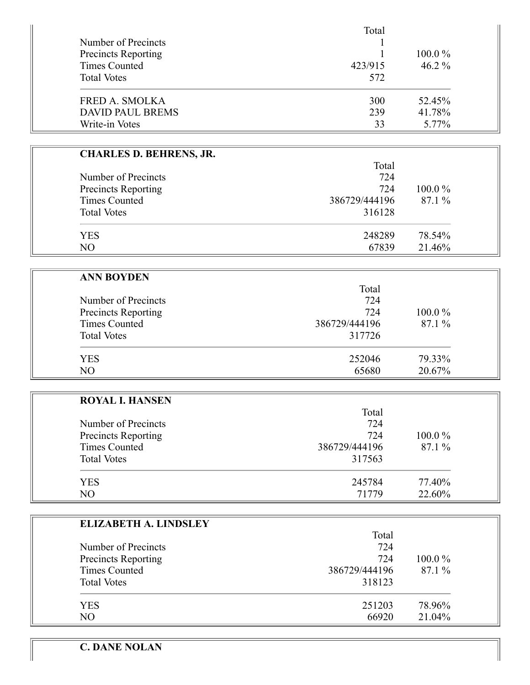|                                            | Total   | $100.0\%$ |
|--------------------------------------------|---------|-----------|
| Number of Precincts<br>Precincts Reporting |         |           |
|                                            |         |           |
| <b>Times Counted</b>                       | 423/915 | $46.2\%$  |
| <b>Total Votes</b>                         | 572     |           |
| <b>FRED A. SMOLKA</b>                      | 300     | 52.45%    |
| <b>DAVID PAUL BREMS</b>                    | 239     | 41.78%    |
| Write-in Votes                             | 33      | 5.77%     |

Ĥ.

| <b>CHARLES D. BEHRENS, JR.</b> |               |           |
|--------------------------------|---------------|-----------|
|                                | Total         |           |
| Number of Precincts            | 724           |           |
| Precincts Reporting            | 724           | $100.0\%$ |
| Times Counted                  | 386729/444196 | 87.1 %    |
| <b>Total Votes</b>             | 316128        |           |
| <b>YES</b>                     | 248289        | 78.54%    |
| NO                             | 67839         | 21.46%    |

| <b>ANN BOYDEN</b>    |               |           |
|----------------------|---------------|-----------|
|                      | Total         |           |
| Number of Precincts  | 724           |           |
| Precincts Reporting  | 724           | $100.0\%$ |
| <b>Times Counted</b> | 386729/444196 | 87.1 %    |
| <b>Total Votes</b>   | 317726        |           |
| <b>YES</b>           | 252046        | 79.33%    |
| N <sub>O</sub>       | 65680         | 20.67%    |

| <b>ROYAL I. HANSEN</b> |               |           |
|------------------------|---------------|-----------|
|                        | Total         |           |
| Number of Precincts    | 724           |           |
| Precincts Reporting    | 724           | $100.0\%$ |
| <b>Times Counted</b>   | 386729/444196 | 87.1%     |
| <b>Total Votes</b>     | 317563        |           |
| <b>YES</b>             | 245784        | 77.40%    |
| NO.                    | 71779         | 22.60%    |

| <b>ELIZABETH A. LINDSLEY</b> |               |           |
|------------------------------|---------------|-----------|
|                              | Total         |           |
| Number of Precincts          | 724           |           |
| Precincts Reporting          | 724           | $100.0\%$ |
| <b>Times Counted</b>         | 386729/444196 | 87.1%     |
| <b>Total Votes</b>           | 318123        |           |
| <b>YES</b>                   | 251203        | 78.96%    |
| NO                           | 66920         | 21.04%    |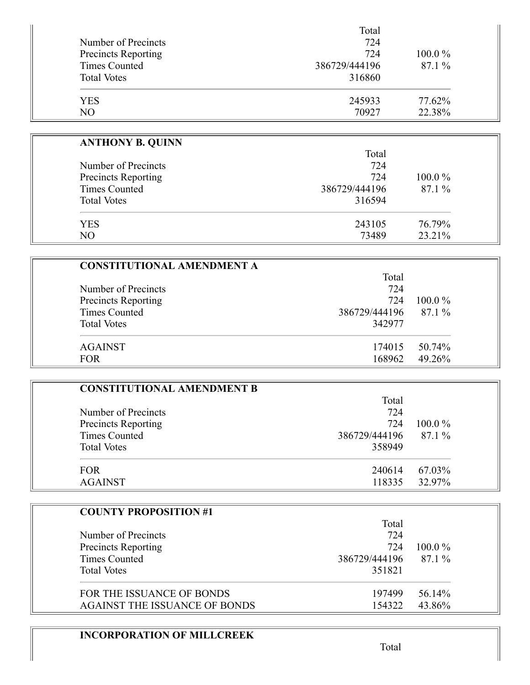|                            | Total         |           |
|----------------------------|---------------|-----------|
| Number of Precincts        | 724           |           |
| <b>Precincts Reporting</b> | 724           | $100.0\%$ |
| Times Counted              | 386729/444196 | 87.1%     |
| <b>Total Votes</b>         | 316860        |           |
| <b>YES</b>                 | 245933        | 77.62%    |
| NO                         | 70927         | 22.38%    |

| <b>ANTHONY B. QUINN</b>    |               |           |
|----------------------------|---------------|-----------|
|                            | Total         |           |
| Number of Precincts        | 724           |           |
| <b>Precincts Reporting</b> | 724           | $100.0\%$ |
| Times Counted              | 386729/444196 | 87.1 %    |
| <b>Total Votes</b>         | 316594        |           |
| <b>YES</b>                 | 243105        | 76.79%    |
| NO                         | 73489         | 23.21%    |

| <b>CONSTITUTIONAL AMENDMENT A</b> |               |           |
|-----------------------------------|---------------|-----------|
|                                   | Total         |           |
| Number of Precincts               | 724           |           |
| Precincts Reporting               | 724           | $100.0\%$ |
| <b>Times Counted</b>              | 386729/444196 | 87.1 %    |
| <b>Total Votes</b>                | 342977        |           |
| <b>AGAINST</b>                    | 174015        | 50.74%    |
| <b>FOR</b>                        | 168962        | 49.26%    |

| <b>CONSTITUTIONAL AMENDMENT B</b> |               |           |
|-----------------------------------|---------------|-----------|
|                                   | Total         |           |
| Number of Precincts               | 724           |           |
| Precincts Reporting               | 724           | $100.0\%$ |
| <b>Times Counted</b>              | 386729/444196 | 87.1 %    |
| <b>Total Votes</b>                | 358949        |           |
| <b>FOR</b>                        | 240614        | 67.03%    |
| <b>AGAINST</b>                    | 118335        | 32.97%    |

| <b>COUNTY PROPOSITION #1</b>         | Total         |           |
|--------------------------------------|---------------|-----------|
| Number of Precincts                  | 724           |           |
| <b>Precincts Reporting</b>           | 724           | $100.0\%$ |
| Times Counted                        | 386729/444196 | 87.1 %    |
| <b>Total Votes</b>                   | 351821        |           |
| FOR THE ISSUANCE OF BONDS            | 197499        | 56.14%    |
| <b>AGAINST THE ISSUANCE OF BONDS</b> | 154322        | 43.86%    |

# **INCORPORATION OF MILLCREEK**